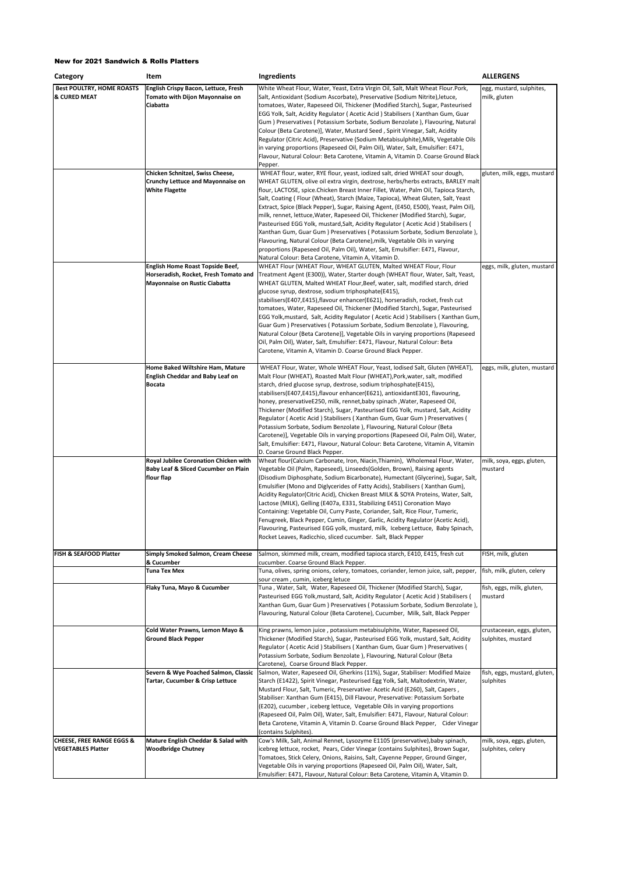| Category                                                          | Item                                                                                                              | Ingredients                                                                                                                                                                                                                                                                                                                                                                                                                                                                                                                                                                                                                                                                                                                                                                                                                                                                                                          | <b>ALLERGENS</b>                                 |
|-------------------------------------------------------------------|-------------------------------------------------------------------------------------------------------------------|----------------------------------------------------------------------------------------------------------------------------------------------------------------------------------------------------------------------------------------------------------------------------------------------------------------------------------------------------------------------------------------------------------------------------------------------------------------------------------------------------------------------------------------------------------------------------------------------------------------------------------------------------------------------------------------------------------------------------------------------------------------------------------------------------------------------------------------------------------------------------------------------------------------------|--------------------------------------------------|
| <b>Best POULTRY, HOME ROASTS</b><br><b>&amp; CURED MEAT</b>       | English Crispy Bacon, Lettuce, Fresh<br>Tomato with Dijon Mayonnaise on<br>Ciabatta                               | White Wheat Flour, Water, Yeast, Extra Virgin Oil, Salt, Malt Wheat Flour.Pork,<br>Salt, Antioxidant (Sodium Ascorbate), Preservative (Sodium Nitrite), letuce,<br>tomatoes, Water, Rapeseed Oil, Thickener (Modified Starch), Sugar, Pasteurised<br>EGG Yolk, Salt, Acidity Regulator (Acetic Acid) Stabilisers (Xanthan Gum, Guar<br>Gum) Preservatives (Potassium Sorbate, Sodium Benzolate), Flavouring, Natural<br>Colour (Beta Carotene)], Water, Mustard Seed, Spirit Vinegar, Salt, Acidity<br>Regulator (Citric Acid), Preservative (Sodium Metabisulphite), Milk, Vegetable Oils<br>in varying proportions (Rapeseed Oil, Palm Oil), Water, Salt, Emulsifier: E471,<br>Flavour, Natural Colour: Beta Carotene, Vitamin A, Vitamin D. Coarse Ground Black<br>Pepper.                                                                                                                                        | egg, mustard, sulphites,<br>milk, gluten         |
|                                                                   | Chicken Schnitzel, Swiss Cheese,<br><b>Crunchy Lettuce and Mayonnaise on</b><br><b>White Flagette</b>             | WHEAT flour, water, RYE flour, yeast, iodized salt, dried WHEAT sour dough,<br>WHEAT GLUTEN, olive oil extra virgin, dextrose, herbs/herbs extracts, BARLEY malt<br>flour, LACTOSE, spice.Chicken Breast Inner Fillet, Water, Palm Oil, Tapioca Starch,<br>Salt, Coating ( Flour (Wheat), Starch (Maize, Tapioca), Wheat Gluten, Salt, Yeast<br>Extract, Spice (Black Pepper), Sugar, Raising Agent, (E450, E500), Yeast, Palm Oil),<br>milk, rennet, lettuce, Water, Rapeseed Oil, Thickener (Modified Starch), Sugar,<br>Pasteurised EGG Yolk, mustard, Salt, Acidity Regulator (Acetic Acid) Stabilisers (<br>Xanthan Gum, Guar Gum) Preservatives (Potassium Sorbate, Sodium Benzolate),<br>Flavouring, Natural Colour (Beta Carotene), milk, Vegetable Oils in varying<br>proportions (Rapeseed Oil, Palm Oil), Water, Salt, Emulsifier: E471, Flavour,<br>Natural Colour: Beta Carotene, Vitamin A, Vitamin D. | gluten, milk, eggs, mustard                      |
|                                                                   | English Home Roast Topside Beef,<br>Horseradish, Rocket, Fresh Tomato and<br><b>Mayonnaise on Rustic Ciabatta</b> | WHEAT Flour (WHEAT Flour, WHEAT GLUTEN, Malted WHEAT Flour, Flour<br>Treatment Agent (E300)), Water, Starter dough (WHEAT flour, Water, Salt, Yeast,<br>WHEAT GLUTEN, Malted WHEAT Flour, Beef, water, salt, modified starch, dried<br>glucose syrup, dextrose, sodium triphosphate(E415),<br>stabilisers(E407,E415),flavour enhancer(E621), horseradish, rocket, fresh cut<br>tomatoes, Water, Rapeseed Oil, Thickener (Modified Starch), Sugar, Pasteurised<br>EGG Yolk, mustard, Salt, Acidity Regulator (Acetic Acid) Stabilisers (Xanthan Gum,<br>Guar Gum ) Preservatives ( Potassium Sorbate, Sodium Benzolate ), Flavouring,<br>Natural Colour (Beta Carotene)], Vegetable Oils in varying proportions (Rapeseed<br>Oil, Palm Oil), Water, Salt, Emulsifier: E471, Flavour, Natural Colour: Beta<br>Carotene, Vitamin A, Vitamin D. Coarse Ground Black Pepper.                                              | eggs, milk, gluten, mustard                      |
|                                                                   | Home Baked Wiltshire Ham, Mature<br><b>English Cheddar and Baby Leaf on</b><br><b>Bocata</b>                      | WHEAT Flour, Water, Whole WHEAT Flour, Yeast, Iodised Salt, Gluten (WHEAT),<br>Malt Flour (WHEAT), Roasted Malt Flour (WHEAT), Pork, water, salt, modified<br>starch, dried glucose syrup, dextrose, sodium triphosphate(E415),<br>stabilisers(E407,E415),flavour enhancer(E621), antioxidantE301, flavouring,<br>honey, preservativeE250, milk, rennet, baby spinach, Water, Rapeseed Oil,<br>Thickener (Modified Starch), Sugar, Pasteurised EGG Yolk, mustard, Salt, Acidity<br>Regulator (Acetic Acid) Stabilisers (Xanthan Gum, Guar Gum) Preservatives (<br>Potassium Sorbate, Sodium Benzolate ), Flavouring, Natural Colour (Beta<br>Carotene)], Vegetable Oils in varying proportions (Rapeseed Oil, Palm Oil), Water,<br>Salt, Emulsifier: E471, Flavour, Natural Colour: Beta Carotene, Vitamin A, Vitamin<br>D. Coarse Ground Black Pepper.                                                              | eggs, milk, gluten, mustard                      |
|                                                                   | Royal Jubilee Coronation Chicken with<br>Baby Leaf & Sliced Cucumber on Plain<br>flour flap                       | Wheat flour(Calcium Carbonate, Iron, Niacin, Thiamin), Wholemeal Flour, Water,<br>Vegetable Oil (Palm, Rapeseed), Linseeds(Golden, Brown), Raising agents<br>(Disodium Diphosphate, Sodium Bicarbonate), Humectant (Glycerine), Sugar, Salt,<br>Emulsifier (Mono and Diglycerides of Fatty Acids), Stabilisers (Xanthan Gum),<br>Acidity Regulator(Citric Acid), Chicken Breast MILK & SOYA Proteins, Water, Salt,<br>Lactose (MILK), Gelling (E407a, E331, Stabilizing E451) Coronation Mayo<br>Containing: Vegetable Oil, Curry Paste, Coriander, Salt, Rice Flour, Tumeric,<br>Fenugreek, Black Pepper, Cumin, Ginger, Garlic, Acidity Regulator (Acetic Acid),<br>Flavouring, Pasteurised EGG yolk, mustard, milk, Iceberg Lettuce, Baby Spinach,<br>Rocket Leaves, Radicchio, sliced cucumber. Salt, Black Pepper                                                                                               | milk, soya, eggs, gluten,<br>mustard             |
| FISH & SEAFOOD Platter                                            | Simply Smoked Salmon, Cream Cheese                                                                                | Salmon, skimmed milk, cream, modified tapioca starch, E410, E415, fresh cut                                                                                                                                                                                                                                                                                                                                                                                                                                                                                                                                                                                                                                                                                                                                                                                                                                          | FISH, milk, gluten                               |
|                                                                   | & Cucumber<br><b>Tuna Tex Mex</b>                                                                                 | cucumber. Coarse Ground Black Pepper.<br>Tuna, olives, spring onions, celery, tomatoes, coriander, lemon juice, salt, pepper,                                                                                                                                                                                                                                                                                                                                                                                                                                                                                                                                                                                                                                                                                                                                                                                        | fish, milk, gluten, celery                       |
|                                                                   | Flaky Tuna, Mayo & Cucumber                                                                                       | sour cream , cumin, iceberg letuce<br>Tuna, Water, Salt, Water, Rapeseed Oil, Thickener (Modified Starch), Sugar,<br>Pasteurised EGG Yolk, mustard, Salt, Acidity Regulator (Acetic Acid) Stabilisers (<br>Xanthan Gum, Guar Gum) Preservatives (Potassium Sorbate, Sodium Benzolate),<br>Flavouring, Natural Colour (Beta Carotene), Cucumber, Milk, Salt, Black Pepper                                                                                                                                                                                                                                                                                                                                                                                                                                                                                                                                             | fish, eggs, milk, gluten,<br>mustard             |
|                                                                   | Cold Water Prawns, Lemon Mayo &<br><b>Ground Black Pepper</b>                                                     | King prawns, lemon juice, potassium metabisulphite, Water, Rapeseed Oil,<br>Thickener (Modified Starch), Sugar, Pasteurised EGG Yolk, mustard, Salt, Acidity<br>Regulator (Acetic Acid) Stabilisers (Xanthan Gum, Guar Gum) Preservatives (<br>Potassium Sorbate, Sodium Benzolate ), Flavouring, Natural Colour (Beta<br>Carotene), Coarse Ground Black Pepper.                                                                                                                                                                                                                                                                                                                                                                                                                                                                                                                                                     | crustaceean, eggs, gluten,<br>sulphites, mustard |
|                                                                   | Severn & Wye Poached Salmon, Classic<br>Tartar, Cucumber & Crisp Lettuce                                          | Salmon, Water, Rapeseed Oil, Gherkins (11%), Sugar, Stabiliser: Modified Maize<br>Starch (E1422), Spirit Vinegar, Pasteurised Egg Yolk, Salt, Maltodextrin, Water,<br>Mustard Flour, Salt, Tumeric, Preservative: Acetic Acid (E260), Salt, Capers,<br>Stabiliser: Xanthan Gum (E415), Dill Flavour, Preservative: Potassium Sorbate<br>(E202), cucumber, iceberg lettuce, Vegetable Oils in varying proportions<br>(Rapeseed Oil, Palm Oil), Water, Salt, Emulsifier: E471, Flavour, Natural Colour:<br>Beta Carotene, Vitamin A, Vitamin D. Coarse Ground Black Pepper, Cider Vinegar<br>(contains Sulphites).                                                                                                                                                                                                                                                                                                     | fish, eggs, mustard, gluten,<br>sulphites        |
| <b>CHEESE, FREE RANGE EGGS &amp;</b><br><b>VEGETABLES Platter</b> | Mature English Cheddar & Salad with<br><b>Woodbridge Chutney</b>                                                  | Cow's Milk, Salt, Animal Rennet, Lysozyme E1105 (preservative), baby spinach,<br>icebreg lettuce, rocket, Pears, Cider Vinegar (contains Sulphites), Brown Sugar,<br>Tomatoes, Stick Celery, Onions, Raisins, Salt, Cayenne Pepper, Ground Ginger,<br>Vegetable Oils in varying proportions (Rapeseed Oil, Palm Oil), Water, Salt,<br>Emulsifier: E471, Flavour, Natural Colour: Beta Carotene, Vitamin A, Vitamin D.                                                                                                                                                                                                                                                                                                                                                                                                                                                                                                | milk, soya, eggs, gluten,<br>sulphites, celery   |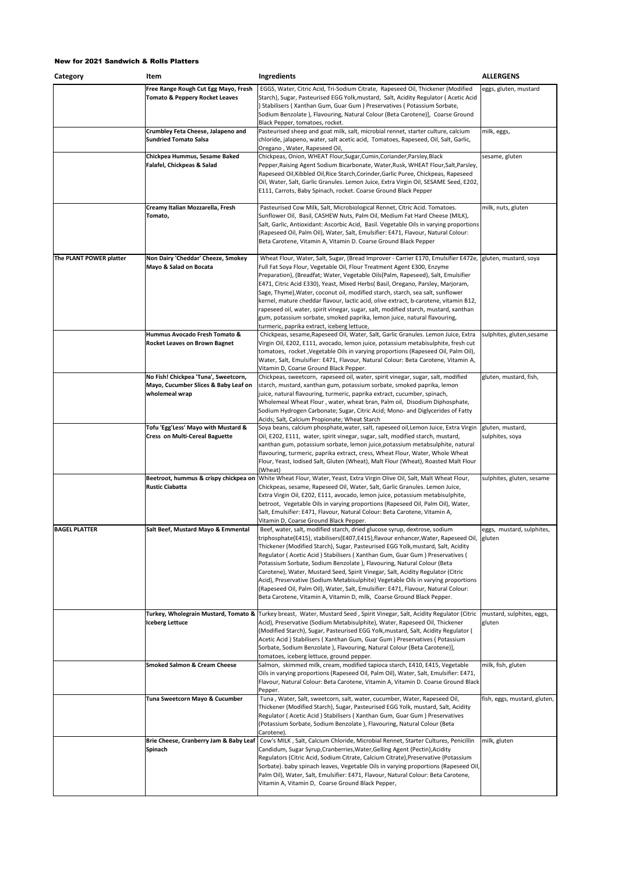| Category                | Item                                                                                           | Ingredients                                                                                                                                                                                                                                                                                                                                                                                                                                                                                                                                                                                                                                                                                                                                                | <b>ALLERGENS</b>                    |
|-------------------------|------------------------------------------------------------------------------------------------|------------------------------------------------------------------------------------------------------------------------------------------------------------------------------------------------------------------------------------------------------------------------------------------------------------------------------------------------------------------------------------------------------------------------------------------------------------------------------------------------------------------------------------------------------------------------------------------------------------------------------------------------------------------------------------------------------------------------------------------------------------|-------------------------------------|
|                         | Free Range Rough Cut Egg Mayo, Fresh<br><b>Tomato &amp; Peppery Rocket Leaves</b>              | EGGS, Water, Citric Acid, Tri-Sodium Citrate, Rapeseed Oil, Thickener (Modified<br>Starch), Sugar, Pasteurised EGG Yolk, mustard, Salt, Acidity Regulator (Acetic Acid<br>) Stabilisers (Xanthan Gum, Guar Gum) Preservatives (Potassium Sorbate,<br>Sodium Benzolate), Flavouring, Natural Colour (Beta Carotene)], Coarse Ground<br>Black Pepper, tomatoes, rocket.                                                                                                                                                                                                                                                                                                                                                                                      | eggs, gluten, mustard               |
|                         | Crumbley Feta Cheese, Jalapeno and<br><b>Sundried Tomato Salsa</b>                             | Pasteurised sheep and goat milk, salt, microbial rennet, starter culture, calcium<br>chloride, jalapeno, water, salt acetic acid, Tomatoes, Rapeseed, Oil, Salt, Garlic,<br>Oregano, Water, Rapeseed Oil,                                                                                                                                                                                                                                                                                                                                                                                                                                                                                                                                                  | milk, eggs,                         |
|                         | Chickpea Hummus, Sesame Baked<br>Falafel, Chickpeas & Salad                                    | Chickpeas, Onion, WHEAT Flour, Sugar, Cumin, Coriander, Parsley, Black<br>Pepper, Raising Agent Sodium Bicarbonate, Water, Rusk, WHEAT Flour, Salt, Parsley,<br>Rapeseed Oil, Kibbled Oil, Rice Starch, Corinder, Garlic Puree, Chickpeas, Rapeseed<br>Oil, Water, Salt, Garlic Granules. Lemon Juice, Extra Virgin Oil, SESAME Seed, E202,<br>E111, Carrots, Baby Spinach, rocket. Coarse Ground Black Pepper                                                                                                                                                                                                                                                                                                                                             | sesame, gluten                      |
|                         | Creamy Italian Mozzarella, Fresh<br>Tomato,                                                    | Pasteurised Cow Milk, Salt, Microbiological Rennet, Citric Acid. Tomatoes.<br>Sunflower Oil, Basil, CASHEW Nuts, Palm Oil, Medium Fat Hard Cheese (MILK),<br>Salt, Garlic, Antioxidant: Ascorbic Acid, Basil. Vegetable Oils in varying proportions<br>(Rapeseed Oil, Palm Oil), Water, Salt, Emulsifier: E471, Flavour, Natural Colour:<br>Beta Carotene, Vitamin A, Vitamin D. Coarse Ground Black Pepper                                                                                                                                                                                                                                                                                                                                                | milk, nuts, gluten                  |
| The PLANT POWER platter | Non Dairy 'Cheddar' Cheeze, Smokey<br>Mayo & Salad on Bocata                                   | Wheat Flour, Water, Salt, Sugar, (Bread Improver - Carrier E170, Emulsifier E472e,<br>Full Fat Soya Flour, Vegetable Oil, Flour Treatment Agent E300, Enzyme<br>Preparation), (Breadfat; Water, Vegetable Oils(Palm, Rapeseed), Salt, Emulsifier<br>E471, Citric Acid E330), Yeast, Mixed Herbs( Basil, Oregano, Parsley, Marjoram,<br>Sage, Thyme), Water, coconut oil, modified starch, starch, sea salt, sunflower<br>kernel, mature cheddar flavour, lactic acid, olive extract, b-carotene, vitamin B12,<br>rapeseed oil, water, spirit vinegar, sugar, salt, modified starch, mustard, xanthan<br>gum, potassium sorbate, smoked paprika, lemon juice, natural flavouring,<br>turmeric, paprika extract, iceberg lettuce,                            | gluten, mustard, soya               |
|                         | Hummus Avocado Fresh Tomato &<br>Rocket Leaves on Brown Bagnet                                 | Chickpeas, sesame, Rapeseed Oil, Water, Salt, Garlic Granules. Lemon Juice, Extra<br>Virgin Oil, E202, E111, avocado, lemon juice, potassium metabisulphite, fresh cut<br>tomatoes, rocket , Vegetable Oils in varying proportions (Rapeseed Oil, Palm Oil),<br>Water, Salt, Emulsifier: E471, Flavour, Natural Colour: Beta Carotene, Vitamin A,<br>Vitamin D, Coarse Ground Black Pepper.                                                                                                                                                                                                                                                                                                                                                                | sulphites, gluten,sesame            |
|                         | No Fish! Chickpea 'Tuna', Sweetcorn,<br>Mayo, Cucumber Slices & Baby Leaf on<br>wholemeal wrap | Chickpeas, sweetcorn, rapeseed oil, water, spirit vinegar, sugar, salt, modified<br>starch, mustard, xanthan gum, potassium sorbate, smoked paprika, lemon<br>juice, natural flavouring, turmeric, paprika extract, cucumber, spinach,<br>Wholemeal Wheat Flour, water, wheat bran, Palm oil, Disodium Diphosphate,<br>Sodium Hydrogen Carbonate; Sugar, Citric Acid; Mono- and Diglycerides of Fatty<br>Acids; Salt, Calcium Propionate; Wheat Starch                                                                                                                                                                                                                                                                                                     | gluten, mustard, fish,              |
|                         | Tofu 'Egg'Less' Mayo with Mustard &<br>Cress on Multi-Cereal Baguette                          | Soya beans, calcium phosphate, water, salt, rapeseed oil, Lemon Juice, Extra Virgin<br>Oil, E202, E111, water, spirit vinegar, sugar, salt, modified starch, mustard,<br>xanthan gum, potassium sorbate, lemon juice,potassium metabsulphite, natural<br>flavouring, turmeric, paprika extract, cress, Wheat Flour, Water, Whole Wheat<br>Flour, Yeast, Iodised Salt, Gluten (Wheat), Malt Flour (Wheat), Roasted Malt Flour<br>(Wheat)                                                                                                                                                                                                                                                                                                                    | gluten, mustard,<br>sulphites, soya |
|                         | Beetroot, hummus & crispy chickpea on<br><b>Rustic Ciabatta</b>                                | White Wheat Flour, Water, Yeast, Extra Virgin Olive Oil, Salt, Malt Wheat Flour,<br>Chickpeas, sesame, Rapeseed Oil, Water, Salt, Garlic Granules. Lemon Juice,<br>Extra Virgin Oil, E202, E111, avocado, lemon juice, potassium metabisulphite,<br>betroot, Vegetable Oils in varying proportions (Rapeseed Oil, Palm Oil), Water,<br>Salt, Emulsifier: E471, Flavour, Natural Colour: Beta Carotene, Vitamin A,<br>Vitamin D, Coarse Ground Black Pepper.                                                                                                                                                                                                                                                                                                | sulphites, gluten, sesame           |
| <b>BAGEL PLATTER</b>    | Salt Beef, Mustard Mayo & Emmental                                                             | Beef, water, salt, modified starch, dried glucose syrup, dextrose, sodium<br>triphosphate(E415), stabilisers(E407,E415),flavour enhancer, Water, Rapeseed Oil, gluten<br>Thickener (Modified Starch), Sugar, Pasteurised EGG Yolk, mustard, Salt, Acidity<br>Regulator (Acetic Acid) Stabilisers (Xanthan Gum, Guar Gum) Preservatives (<br>Potassium Sorbate, Sodium Benzolate ), Flavouring, Natural Colour (Beta<br>Carotene), Water, Mustard Seed, Spirit Vinegar, Salt, Acidity Regulator (Citric<br>Acid), Preservative (Sodium Metabisulphite) Vegetable Oils in varying proportions<br>(Rapeseed Oil, Palm Oil), Water, Salt, Emulsifier: E471, Flavour, Natural Colour:<br>Beta Carotene, Vitamin A, Vitamin D, milk, Coarse Ground Black Pepper. | eggs, mustard, sulphites,           |
|                         | Turkey, Wholegrain Mustard, Tomato &<br><b>Iceberg Lettuce</b>                                 | Turkey breast, Water, Mustard Seed, Spirit Vinegar, Salt, Acidity Regulator (Citric<br>Acid), Preservative (Sodium Metabisulphite), Water, Rapeseed Oil, Thickener<br>(Modified Starch), Sugar, Pasteurised EGG Yolk, mustard, Salt, Acidity Regulator (<br>Acetic Acid ) Stabilisers (Xanthan Gum, Guar Gum) Preservatives (Potassium<br>Sorbate, Sodium Benzolate ), Flavouring, Natural Colour (Beta Carotene)],<br>tomatoes, iceberg lettuce, ground pepper.                                                                                                                                                                                                                                                                                           | mustard, sulphites, eggs,<br>gluten |
|                         | <b>Smoked Salmon &amp; Cream Cheese</b>                                                        | Salmon, skimmed milk, cream, modified tapioca starch, E410, E415, Vegetable<br>Oils in varying proportions (Rapeseed Oil, Palm Oil), Water, Salt, Emulsifier: E471,<br>Flavour, Natural Colour: Beta Carotene, Vitamin A, Vitamin D. Coarse Ground Black<br>Pepper.                                                                                                                                                                                                                                                                                                                                                                                                                                                                                        | milk, fish, gluten                  |
|                         | Tuna Sweetcorn Mayo & Cucumber                                                                 | Tuna, Water, Salt, sweetcorn, salt, water, cucumber, Water, Rapeseed Oil,<br>Thickener (Modified Starch), Sugar, Pasteurised EGG Yolk, mustard, Salt, Acidity<br>Regulator (Acetic Acid) Stabilisers (Xanthan Gum, Guar Gum) Preservatives<br>(Potassium Sorbate, Sodium Benzolate), Flavouring, Natural Colour (Beta<br>Carotene).                                                                                                                                                                                                                                                                                                                                                                                                                        | fish, eggs, mustard, gluten,        |
|                         | Brie Cheese, Cranberry Jam & Baby Leaf<br>Spinach                                              | Cow's MILK, Salt, Calcium Chloride, Microbial Rennet, Starter Cultures, Penicillin<br>Candidum, Sugar Syrup, Cranberries, Water, Gelling Agent (Pectin), Acidity<br>Regulators (Citric Acid, Sodium Citrate, Calcium Citrate), Preservative (Potassium<br>Sorbate). baby spinach leaves, Vegetable Oils in varying proportions (Rapeseed Oil,<br>Palm Oil), Water, Salt, Emulsifier: E471, Flavour, Natural Colour: Beta Carotene,<br>Vitamin A, Vitamin D, Coarse Ground Black Pepper,                                                                                                                                                                                                                                                                    | milk, gluten                        |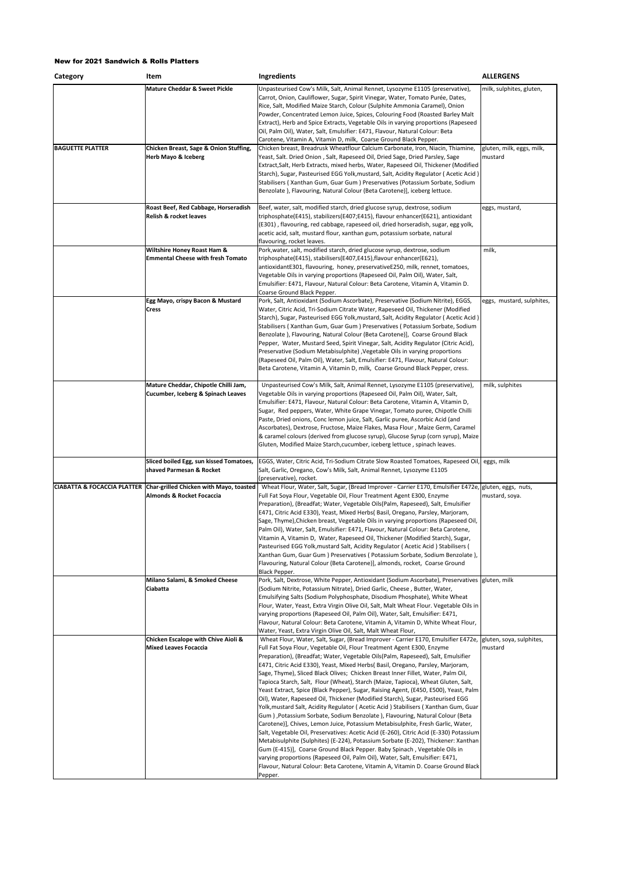| Category                               | Item                                                                       | Ingredients                                                                                                                                                                                                                                                                                                                                                                                                                                                                                                                                                                                                                                                                                                                                                                                                                                                                                                                                                                                                                                                                                                                                                                                                                                                                                                                                                                                | <b>ALLERGENS</b>                     |
|----------------------------------------|----------------------------------------------------------------------------|--------------------------------------------------------------------------------------------------------------------------------------------------------------------------------------------------------------------------------------------------------------------------------------------------------------------------------------------------------------------------------------------------------------------------------------------------------------------------------------------------------------------------------------------------------------------------------------------------------------------------------------------------------------------------------------------------------------------------------------------------------------------------------------------------------------------------------------------------------------------------------------------------------------------------------------------------------------------------------------------------------------------------------------------------------------------------------------------------------------------------------------------------------------------------------------------------------------------------------------------------------------------------------------------------------------------------------------------------------------------------------------------|--------------------------------------|
|                                        | <b>Mature Cheddar &amp; Sweet Pickle</b>                                   | Unpasteurised Cow's Milk, Salt, Animal Rennet, Lysozyme E1105 (preservative),<br>Carrot, Onion, Cauliflower, Sugar, Spirit Vinegar, Water, Tomato Purée, Dates,<br>Rice, Salt, Modified Maize Starch, Colour (Sulphite Ammonia Caramel), Onion<br>Powder, Concentrated Lemon Juice, Spices, Colouring Food (Roasted Barley Malt<br>Extract), Herb and Spice Extracts, Vegetable Oils in varying proportions (Rapeseed<br>Oil, Palm Oil), Water, Salt, Emulsifier: E471, Flavour, Natural Colour: Beta<br>Carotene, Vitamin A, Vitamin D, milk, Coarse Ground Black Pepper.                                                                                                                                                                                                                                                                                                                                                                                                                                                                                                                                                                                                                                                                                                                                                                                                                 | milk, sulphites, gluten,             |
| <b>BAGUETTE PLATTER</b>                | Chicken Breast, Sage & Onion Stuffing,<br><b>Herb Mayo &amp; Iceberg</b>   | Chicken breast, Breadrusk Wheatflour Calcium Carbonate, Iron, Niacin, Thiamine,<br>Yeast, Salt. Dried Onion, Salt, Rapeseed Oil, Dried Sage, Dried Parsley, Sage<br>Extract, Salt, Herb Extracts, mixed herbs, Water, Rapeseed Oil, Thickener (Modified<br>Starch), Sugar, Pasteurised EGG Yolk, mustard, Salt, Acidity Regulator (Acetic Acid)<br>Stabilisers (Xanthan Gum, Guar Gum) Preservatives (Potassium Sorbate, Sodium<br>Benzolate ), Flavouring, Natural Colour (Beta Carotene)], iceberg lettuce.                                                                                                                                                                                                                                                                                                                                                                                                                                                                                                                                                                                                                                                                                                                                                                                                                                                                              | gluten, milk, eggs, milk,<br>mustard |
|                                        | Roast Beef, Red Cabbage, Horseradish<br><b>Relish &amp; rocket leaves</b>  | Beef, water, salt, modified starch, dried glucose syrup, dextrose, sodium<br>triphosphate(E415), stabilizers(E407;E415), flavour enhancer(E621), antioxidant<br>(E301), flavouring, red cabbage, rapeseed oil, dried horseradish, sugar, egg yolk,<br>acetic acid, salt, mustard flour, xanthan gum, potassium sorbate, natural<br>flavouring, rocket leaves.                                                                                                                                                                                                                                                                                                                                                                                                                                                                                                                                                                                                                                                                                                                                                                                                                                                                                                                                                                                                                              | eggs, mustard,                       |
|                                        | Wiltshire Honey Roast Ham &<br><b>Emmental Cheese with fresh Tomato</b>    | Pork,water, salt, modified starch, dried glucose syrup, dextrose, sodium<br>triphosphate(E415), stabilisers(E407,E415),flavour enhancer(E621),<br>antioxidantE301, flavouring, honey, preservativeE250, milk, rennet, tomatoes,<br>Vegetable Oils in varying proportions (Rapeseed Oil, Palm Oil), Water, Salt,<br>Emulsifier: E471, Flavour, Natural Colour: Beta Carotene, Vitamin A, Vitamin D.<br>Coarse Ground Black Pepper.                                                                                                                                                                                                                                                                                                                                                                                                                                                                                                                                                                                                                                                                                                                                                                                                                                                                                                                                                          | milk,                                |
|                                        | Egg Mayo, crispy Bacon & Mustard<br><b>Cress</b>                           | Pork, Salt, Antioxidant (Sodium Ascorbate), Preservative (Sodium Nitrite), EGGS,<br>Water, Citric Acid, Tri-Sodium Citrate Water, Rapeseed Oil, Thickener (Modified<br>Starch), Sugar, Pasteurised EGG Yolk, mustard, Salt, Acidity Regulator (Acetic Acid)<br>Stabilisers (Xanthan Gum, Guar Gum) Preservatives (Potassium Sorbate, Sodium<br>Benzolate ), Flavouring, Natural Colour (Beta Carotene)], Coarse Ground Black<br>Pepper, Water, Mustard Seed, Spirit Vinegar, Salt, Acidity Regulator (Citric Acid),<br>Preservative (Sodium Metabisulphite) , Vegetable Oils in varying proportions<br>(Rapeseed Oil, Palm Oil), Water, Salt, Emulsifier: E471, Flavour, Natural Colour:<br>Beta Carotene, Vitamin A, Vitamin D, milk, Coarse Ground Black Pepper, cress.                                                                                                                                                                                                                                                                                                                                                                                                                                                                                                                                                                                                                  | eggs, mustard, sulphites,            |
|                                        | Mature Cheddar, Chipotle Chilli Jam,<br>Cucumber, Iceberg & Spinach Leaves | Unpasteurised Cow's Milk, Salt, Animal Rennet, Lysozyme E1105 (preservative),<br>Vegetable Oils in varying proportions (Rapeseed Oil, Palm Oil), Water, Salt,<br>Emulsifier: E471, Flavour, Natural Colour: Beta Carotene, Vitamin A, Vitamin D,<br>Sugar, Red peppers, Water, White Grape Vinegar, Tomato puree, Chipotle Chilli<br>Paste, Dried onions, Conc lemon juice, Salt, Garlic puree, Ascorbic Acid (and<br>Ascorbates), Dextrose, Fructose, Maize Flakes, Masa Flour, Maize Germ, Caramel<br>& caramel colours (derived from glucose syrup), Glucose Syrup (corn syrup), Maize<br>Gluten, Modified Maize Starch, cucumber, iceberg lettuce, spinach leaves.                                                                                                                                                                                                                                                                                                                                                                                                                                                                                                                                                                                                                                                                                                                     | milk, sulphites                      |
|                                        | Sliced boiled Egg, sun kissed Tomatoes,<br>shaved Parmesan & Rocket        | EGGS, Water, Citric Acid, Tri-Sodium Citrate Slow Roasted Tomatoes, Rapeseed Oil<br>Salt, Garlic, Oregano, Cow's Milk, Salt, Animal Rennet, Lysozyme E1105<br>(preservative), rocket.                                                                                                                                                                                                                                                                                                                                                                                                                                                                                                                                                                                                                                                                                                                                                                                                                                                                                                                                                                                                                                                                                                                                                                                                      | eggs, milk                           |
| <b>CIABATTA &amp; FOCACCIA PLATTER</b> | Char-grilled Chicken with Mayo, toasted<br>Almonds & Rocket Focaccia       | Wheat Flour, Water, Salt, Sugar, (Bread Improver - Carrier E170, Emulsifier E472e, gluten, eggs, nuts,<br>Full Fat Soya Flour, Vegetable Oil, Flour Treatment Agent E300, Enzyme<br>Preparation), (Breadfat; Water, Vegetable Oils(Palm, Rapeseed), Salt, Emulsifier<br>E471, Citric Acid E330), Yeast, Mixed Herbs( Basil, Oregano, Parsley, Marjoram,<br>Sage, Thyme), Chicken breast, Vegetable Oils in varying proportions (Rapeseed Oil,<br>Palm Oil), Water, Salt, Emulsifier: E471, Flavour, Natural Colour: Beta Carotene,<br>Vitamin A, Vitamin D, Water, Rapeseed Oil, Thickener (Modified Starch), Sugar,<br>Pasteurised EGG Yolk, mustard Salt, Acidity Regulator (Acetic Acid) Stabilisers (<br>Xanthan Gum, Guar Gum ) Preservatives ( Potassium Sorbate, Sodium Benzolate ),<br>Flavouring, Natural Colour (Beta Carotene)], almonds, rocket, Coarse Ground<br>Black Pepper.                                                                                                                                                                                                                                                                                                                                                                                                                                                                                                | mustard, soya.                       |
|                                        | Milano Salami, & Smoked Cheese<br>Ciabatta                                 | Pork, Salt, Dextrose, White Pepper, Antioxidant (Sodium Ascorbate), Preservatives gluten, milk<br>(Sodium Nitrite, Potassium Nitrate), Dried Garlic, Cheese, Butter, Water,<br>Emulsifying Salts (Sodium Polyphosphate, Disodium Phosphate), White Wheat<br>Flour, Water, Yeast, Extra Virgin Olive Oil, Salt, Malt Wheat Flour. Vegetable Oils in<br>varying proportions (Rapeseed Oil, Palm Oil), Water, Salt, Emulsifier: E471,<br>Flavour, Natural Colour: Beta Carotene, Vitamin A, Vitamin D, White Wheat Flour,<br>Water, Yeast, Extra Virgin Olive Oil, Salt, Malt Wheat Flour,                                                                                                                                                                                                                                                                                                                                                                                                                                                                                                                                                                                                                                                                                                                                                                                                    |                                      |
|                                        | Chicken Escalope with Chive Aioli &<br><b>Mixed Leaves Focaccia</b>        | Wheat Flour, Water, Salt, Sugar, (Bread Improver - Carrier E170, Emulsifier E472e,<br>Full Fat Soya Flour, Vegetable Oil, Flour Treatment Agent E300, Enzyme<br>Preparation), (Breadfat; Water, Vegetable Oils(Palm, Rapeseed), Salt, Emulsifier<br>E471, Citric Acid E330), Yeast, Mixed Herbs( Basil, Oregano, Parsley, Marjoram,<br>Sage, Thyme), Sliced Black Olives; Chicken Breast Inner Fillet, Water, Palm Oil,<br>Tapioca Starch, Salt, Flour (Wheat), Starch (Maize, Tapioca), Wheat Gluten, Salt,<br>Yeast Extract, Spice (Black Pepper), Sugar, Raising Agent, (E450, E500), Yeast, Palm<br>Oil), Water, Rapeseed Oil, Thickener (Modified Starch), Sugar, Pasteurised EGG<br>Yolk,mustard Salt, Acidity Regulator (Acetic Acid) Stabilisers (Xanthan Gum, Guar<br>Gum), Potassium Sorbate, Sodium Benzolate), Flavouring, Natural Colour (Beta<br>Carotene)], Chives, Lemon Juice, Potassium Metabisulphite, Fresh Garlic, Water,<br>Salt, Vegetable Oil, Preservatives: Acetic Acid (E-260), Citric Acid (E-330) Potassium<br>Metabisulphite (Sulphites) (E-224), Potassium Sorbate (E-202), Thickener: Xanthan<br>Gum (E-415)], Coarse Ground Black Pepper. Baby Spinach, Vegetable Oils in<br>varying proportions (Rapeseed Oil, Palm Oil), Water, Salt, Emulsifier: E471,<br>Flavour, Natural Colour: Beta Carotene, Vitamin A, Vitamin D. Coarse Ground Black<br>Pepper. | gluten, soya, sulphites,<br>mustard  |